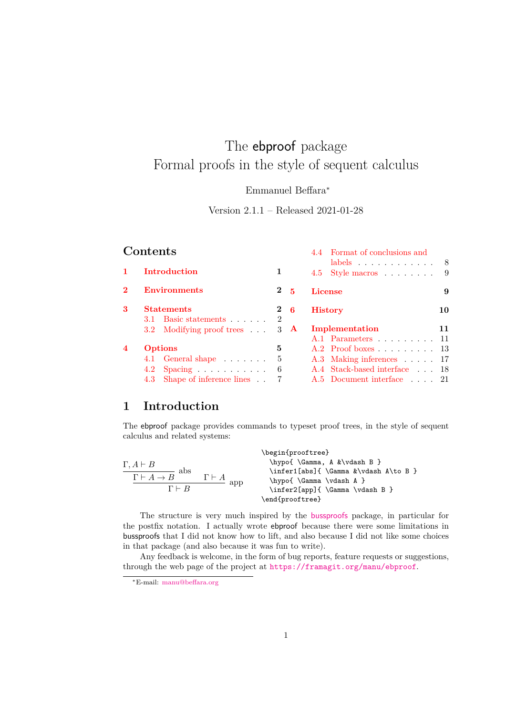# The ebproof package Formal proofs in the style of sequent calculus

Emmanuel Beffara<sup>∗</sup>

Version 2.1.1 – Released 2021-01-28

|                  | Contents                                  |                |                | Format of conclusions and              |          |
|------------------|-------------------------------------------|----------------|----------------|----------------------------------------|----------|
|                  | Introduction<br><b>Environments</b>       |                |                | Style macros $\dots \dots$<br>4.5      | - 8<br>9 |
| $\bf{2}$         |                                           |                | 2 <sub>5</sub> | <b>License</b>                         | 9        |
| 3                | <b>Statements</b><br>3.1 Basic statements | $\overline{2}$ | $2\quad 6$     | <b>History</b>                         | 10       |
|                  | 3.2 Modifying proof trees                 | 3 <sup>3</sup> | $\mathbf{A}$   | Implementation<br>A.1 Parameters 11    | 11       |
| $\boldsymbol{4}$ | <b>Options</b>                            |                |                | $A.2$ Proof boxes $\ldots$ $\ldots$ 13 |          |
|                  | 4.1 General shape                         | 5              |                | A.3 Making inferences 17               |          |
|                  | $4.2$ Spacing                             | 6              |                | A.4 Stack-based interface 18           |          |
|                  | 4.3 Shape of inference lines.             |                |                | A.5 Document interface 21              |          |

## <span id="page-0-0"></span>**1 Introduction**

The ebproof package provides commands to typeset proof trees, in the style of sequent calculus and related systems:

| $\Gamma, A \vdash B$<br>abs<br>$\Gamma\vdash A\to B$<br>$\Gamma \vdash B$ | $\Gamma\vdash A$<br>app | \begin{prooftree}<br>\hypo{\Gamma, A &\vdash B }<br>\infer1[abs]{ \Gamma &\vdash A\to B }<br>\hypo{\Gamma\vdash A }<br>\infer2[app]{ \Gamma \vdash B } |
|---------------------------------------------------------------------------|-------------------------|--------------------------------------------------------------------------------------------------------------------------------------------------------|
|                                                                           |                         | \end{prooftree}                                                                                                                                        |

The structure is very much inspired by the [bussproofs](http://math.ucsd.edu/~sbuss/ResearchWeb/bussproofs/) package, in particular for the postfix notation. I actually wrote ebproof because there were some limitations in bussproofs that I did not know how to lift, and also because I did not like some choices in that package (and also because it was fun to write).

Any feedback is welcome, in the form of bug reports, feature requests or suggestions, through the web page of the project at <https://framagit.org/manu/ebproof>.

<sup>∗</sup>E-mail: [manu@beffara.org](mailto:manu@beffara.org)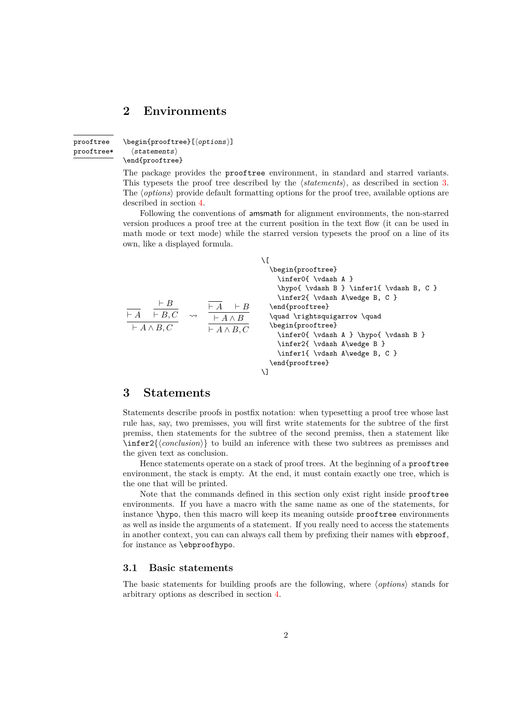## <span id="page-1-0"></span>**2 Environments**

<span id="page-1-3"></span>prooftree prooftree\*  $\begin{cases}[\langle options \rangle] \end{cases}$  $\langle$ statements $\rangle$ \end{prooftree}

The package provides the prooftree environment, in standard and starred variants. This typesets the proof tree described by the  $\langle$ *statements* $\rangle$ , as described in section [3.](#page-1-1) The *(options)* provide default formatting options for the proof tree, available options are described in section [4.](#page-4-0)

Following the conventions of amsmath for alignment environments, the non-starred version produces a proof tree at the current position in the text flow (it can be used in math mode or text mode) while the starred version typesets the proof on a line of its own, like a displayed formula.

| $\vdash B$<br>$\vdash A \vdash B, C$<br>$\vdash A \land B, C$ | $\rightsquigarrow$ | $\vdash A \quad \vdash B$<br>$\vdash A \wedge B$<br>$\vdash A \land B, C$ | \begin{prooftree}<br>\inferO{\vdash A }<br>\hypo{\vdash B } \infer1{ \vdash B, C }<br>\infer2{ \vdash A\wedge B, C }<br>\end{prooftree}<br>\quad \rightsquigarrow \quad<br>\begin{prooftree}<br>\infer0{ \vdash A } \hypo{ \vdash B }<br>\infer2{ \vdash A\wedge B }<br>\infer1{ \vdash A\wedge B, C }<br>\end{prooftree} |
|---------------------------------------------------------------|--------------------|---------------------------------------------------------------------------|---------------------------------------------------------------------------------------------------------------------------------------------------------------------------------------------------------------------------------------------------------------------------------------------------------------------------|
|                                                               |                    |                                                                           | ۱ı                                                                                                                                                                                                                                                                                                                        |

## <span id="page-1-1"></span>**3 Statements**

Statements describe proofs in postfix notation: when typesetting a proof tree whose last rule has, say, two premisses, you will first write statements for the subtree of the first premiss, then statements for the subtree of the second premiss, then a statement like  $\infer2\{\langle conclusion \rangle\}$  to build an inference with these two subtrees as premisses and the given text as conclusion.

Hence statements operate on a stack of proof trees. At the beginning of a prooftree environment, the stack is empty. At the end, it must contain exactly one tree, which is the one that will be printed.

Note that the commands defined in this section only exist right inside prooftree environments. If you have a macro with the same name as one of the statements, for instance \hypo, then this macro will keep its meaning outside prooftree environments as well as inside the arguments of a statement. If you really need to access the statements in another context, you can can always call them by prefixing their names with ebproof, for instance as \ebproofhypo.

## <span id="page-1-2"></span>**3.1 Basic statements**

The basic statements for building proofs are the following, where  $\langle options \rangle$  stands for arbitrary options as described in section [4.](#page-4-0)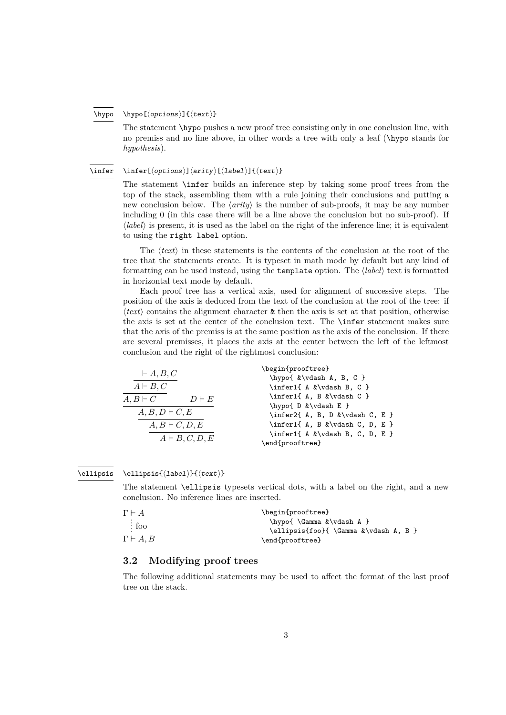#### <span id="page-2-1"></span> $\hbox{\hbox{hypo}}$ [ $\coptions$ ]{ $\text$ } \hypo

The statement \hypo pushes a new proof tree consisting only in one conclusion line, with no premiss and no line above, in other words a tree with only a leaf (\hypo stands for *hypothesis*).

#### <span id="page-2-2"></span> $\in[\langle options\rangle]\langle arity\rangle[\langle label\rangle]\{\langle text\rangle\}$ \infer

The statement \infer builds an inference step by taking some proof trees from the top of the stack, assembling them with a rule joining their conclusions and putting a new conclusion below. The  $\langle$ *arity* $\rangle$  is the number of sub-proofs, it may be any number including 0 (in this case there will be a line above the conclusion but no sub-proof). If  $\langle label \rangle$  is present, it is used as the label on the right of the inference line; it is equivalent to using the right label option.

The  $\langle text \rangle$  in these statements is the contents of the conclusion at the root of the tree that the statements create. It is typeset in math mode by default but any kind of formatting can be used instead, using the **template** option. The *(label)* text is formatted in horizontal text mode by default.

Each proof tree has a vertical axis, used for alignment of successive steps. The position of the axis is deduced from the text of the conclusion at the root of the tree: if  $\langle text \rangle$  contains the alignment character  $\&$  then the axis is set at that position, otherwise the axis is set at the center of the conclusion text. The \infer statement makes sure that the axis of the premiss is at the same position as the axis of the conclusion. If there are several premisses, it places the axis at the center between the left of the leftmost conclusion and the right of the rightmost conclusion:

| $\vdash A, B, C$                | \begin{prooftree}                          |
|---------------------------------|--------------------------------------------|
|                                 | \hypo{ &\vdash A, B, C }                   |
| $A \vdash B, C$                 | \infer1{ A &\vdash B, C }                  |
| $A, B \vdash C$<br>$D \vdash E$ | \infer1{ A, B &\vdash C }                  |
|                                 | \hypo{ D &\vdash E }                       |
| $A, B, D \vdash C, E$           | \infer2{ A, B, D &\vdash C, E }            |
| $A, B \vdash C, D, E$           | \infer1{ A, B &\vdash C, D, E }            |
|                                 | $\infer1\{ A & \vdash vdash B, C, D, E \}$ |
| $A \vdash B, C, D, E$           | \end{prooftree}                            |

#### <span id="page-2-3"></span>\ellipsis{ $\langle$ label}}{ $\langle$ text}} \ellipsis

The statement \ellipsis typesets vertical dots, with a label on the right, and a new conclusion. No inference lines are inserted.

| $\Gamma \vdash A$     | \begin{prooftree}                                                 |
|-----------------------|-------------------------------------------------------------------|
| $\therefore$ foo      | \hypo{\Gamma &\vdash A }<br>\ellipsis{foo}{ \Gamma &\vdash A, B } |
| $\Gamma \vdash A . B$ | \end{prooftree}                                                   |

## <span id="page-2-0"></span>**3.2 Modifying proof trees**

The following additional statements may be used to affect the format of the last proof tree on the stack.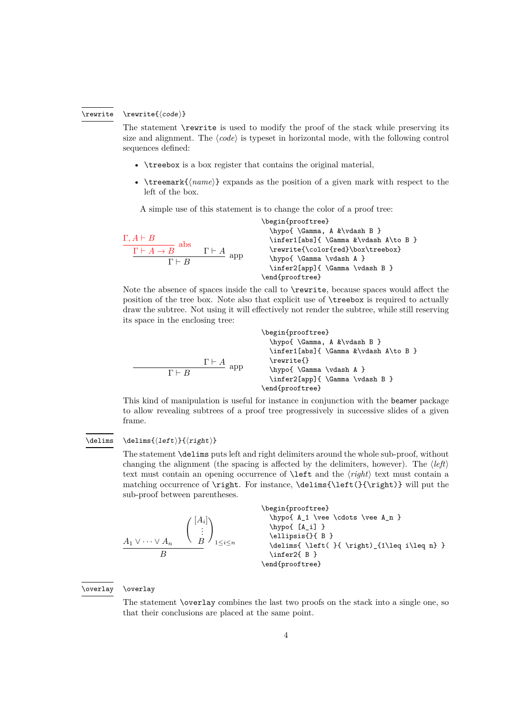#### <span id="page-3-0"></span> $\text{code}}$ \rewrite

The statement \rewrite is used to modify the proof of the stack while preserving its size and alignment. The  $\langle code \rangle$  is typeset in horizontal mode, with the following control sequences defined:

- \treebox is a box register that contains the original material,
- $\text{temperature}$  expands as the position of a given mark with respect to the left of the box.

A simple use of this statement is to change the color of a proof tree:

| $\Gamma, A \vdash B$<br>abs<br>$\Gamma\vdash A\to B$<br>$\Gamma \vdash B$ | $\Gamma \vdash A$<br>app | \begin{prooftree}<br>\hypo{\Gamma, A &\vdash B }<br>\infer1[abs]{ \Gamma &\vdash A\to B }<br>\rewrite{\color{red}\box\treebox}<br>\hypo{\Gamma\vdash A }<br>\infer2[app]{ \Gamma \vdash B } |
|---------------------------------------------------------------------------|--------------------------|---------------------------------------------------------------------------------------------------------------------------------------------------------------------------------------------|
|                                                                           |                          | \end{prooftree}                                                                                                                                                                             |

Note the absence of spaces inside the call to \rewrite, because spaces would affect the position of the tree box. Note also that explicit use of \treebox is required to actually draw the subtree. Not using it will effectively not render the subtree, while still reserving its space in the enclosing tree:

Γ ` *A* app Γ ` *B* \begin{prooftree} \hypo{ \Gamma, A &\vdash B } \infer1[abs]{ \Gamma &\vdash A\to B } \rewrite{} \hypo{ \Gamma \vdash A } \infer2[app]{ \Gamma \vdash B } \end{prooftree}

This kind of manipulation is useful for instance in conjunction with the beamer package to allow revealing subtrees of a proof tree progressively in successive slides of a given frame.

#### <span id="page-3-1"></span> $\delta{\left\langle left\right\rangle}$ \delims

The statement \delims puts left and right delimiters around the whole sub-proof, without changing the alignment (the spacing is affected by the delimiters, however). The  $\langle left \rangle$ text must contain an opening occurrence of  $\left\{ \right.$  text must contain a matching occurrence of \right. For instance, \delims{\left(}{\right)} will put the sub-proof between parentheses.

$$
\begin{array}{c}\n\begin{array}{c}\n\begin{array}{c}\n\begin{array}{c}\n\begin{array}{c}\n\begin{array}{c}\n\begin{array}{c}\n\begin{array}{c}\n\end{array} & \begin{array}{c}\n\end{array} & \begin{array}{c}\n\end{array} & \begin{array}{c}\n\end{array} & \begin{array}{c}\n\end{array} & \begin{array}{c}\n\end{array} & \begin{array}{c}\n\end{array} & \begin{array}{c}\n\end{array} & \begin{array}{c}\n\end{array} & \begin{array}{c}\n\end{array} & \begin{array}{c}\n\end{array} & \begin{array}{c}\n\end{array} & \begin{array}{c}\n\end{array} & \begin{array}{c}\n\end{array} & \begin{array}{c}\n\end{array} & \begin{array}{c}\n\end{array} & \begin{array}{c}\n\end{array} & \begin{array}{c}\n\end{array} & \begin{array}{c}\n\end{array} & \begin{array}{c}\n\end{array} & \begin{array}{c}\n\end{array} & \begin{array}{c}\n\end{array} & \begin{array}{c}\n\end{array} & \begin{array}{c}\n\end{array} & \begin{array}{c}\n\end{array} & \begin{array}{c}\n\end{array} & \begin{array}{c}\n\end{array} & \begin{array}{c}\n\end{array} & \begin{array}{c}\n\end{array} & \begin{array}{c}\n\end{array} & \begin{array}{c}\n\end{array} & \begin{array}{c}\n\end{array} & \begin{array}{c}\n\end{array} & \begin{array}{c}\n\end{array} & \begin{array}{c}\n\end{array} & \begin{array}{c}\n\end{array} & \begin{array}{c}\n\end{array} & \begin{array}{c}\n\end{array} & \begin{array}{c}\n\end{array} & \begin{array}{c}\n\end{array} & \begin{array}{c}\n\end{array} & \begin{array}{c}\n\end{array} & \begin{array}{c}\n\end{array} & \begin{array}{c}\n\end{array} &
$$

#### <span id="page-3-2"></span>\overlay \overlay

The statement \overlay combines the last two proofs on the stack into a single one, so that their conclusions are placed at the same point.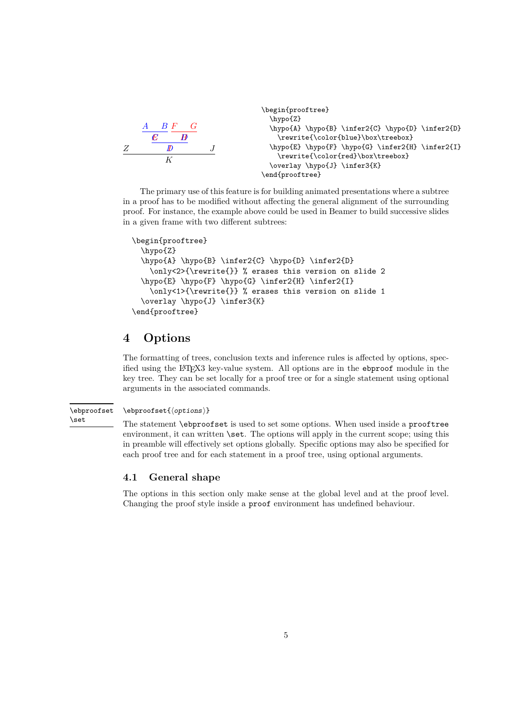```
Z
      E
           F G
             H
          I
    A B
      C D
          D J
          K
                                 \begin{prooftree}
                                   \hypo{Z}
                                   \hypo{A} \hypo{B} \infer2{C} \hypo{D} \infer2{D}
                                     \rewrite{\color{blue}\box\treebox}
                                   \hypo{E} \hypo{F} \hypo{G} \infer2{H} \infer2{I}
                                     \rewrite{\color{red}\box\treebox}
                                   \overlay \hypo{J} \infer3{K}
                                 \end{prooftree}
```
The primary use of this feature is for building animated presentations where a subtree in a proof has to be modified without affecting the general alignment of the surrounding proof. For instance, the example above could be used in Beamer to build successive slides in a given frame with two different subtrees:

```
\begin{prooftree}
  \hypo{Z}
  \hypo{A} \hypo{B} \infer2{C} \hypo{D} \infer2{D}
    \only<2>{\rewrite{}} % erases this version on slide 2
  \hypo{E} \hypo{F} \hypo{G} \infer2{H} \infer2{I}
    \only<1>{\rewrite{}} % erases this version on slide 1
  \overlay \hypo{J} \infer3{K}
\end{prooftree}
```
## <span id="page-4-0"></span>**4 Options**

The formatting of trees, conclusion texts and inference rules is affected by options, specified using the LATEX3 key-value system. All options are in the ebproof module in the key tree. They can be set locally for a proof tree or for a single statement using optional arguments in the associated commands.

#### <span id="page-4-2"></span> $\verb|\ebproofset{|\noptions|}$ \ebproofset

\set

The statement \ebproofset is used to set some options. When used inside a prooftree environment, it can written \set. The options will apply in the current scope; using this in preamble will effectively set options globally. Specific options may also be specified for each proof tree and for each statement in a proof tree, using optional arguments.

## <span id="page-4-1"></span>**4.1 General shape**

The options in this section only make sense at the global level and at the proof level. Changing the proof style inside a proof environment has undefined behaviour.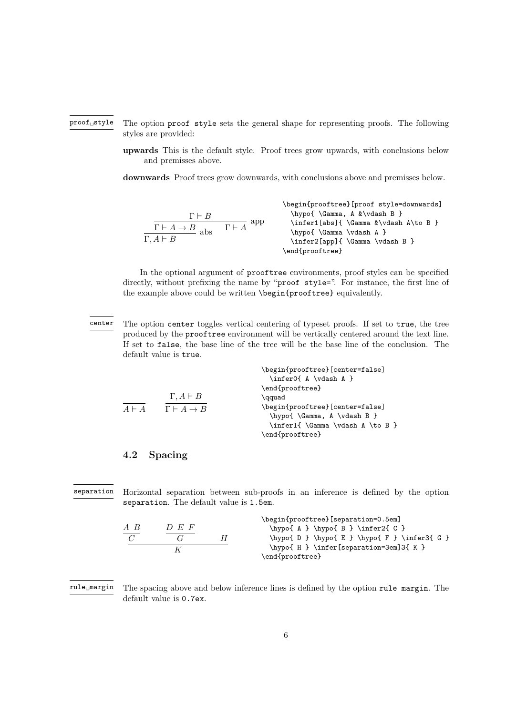#### The option proof style sets the general shape for representing proofs. The following styles are provided: proof␣style

**upwards** This is the default style. Proof trees grow upwards, with conclusions below and premisses above.

**downwards** Proof trees grow downwards, with conclusions above and premisses below.

$$
\begin{array}{c}\n\text{begin} \begin{array}{c}\n\text{begin} \text{array} \end{array} \end{array} \begin{array}{c}\n\text{begin} \text{array} \end{array} \end{array} \begin{array}{c}\n\text{begin} \text{array} \end{array} \end{array} \begin{array}{c}\n\text{begin} \text{array} \end{array} \end{array} \begin{array}{c}\n\text{begin} \text{array} \end{array} \end{array} \begin{array}{c}\n\text{begin} \text{array} \end{array} \end{array} \begin{array}{c}\n\text{begin} \text{array} \end{array} \end{array} \begin{array}{c}\n\text{begin} \text{array} \end{array} \end{array} \begin{array}{c}\n\text{begin} \text{array} \end{array} \end{array} \begin{array}{c}\n\text{begin} \text{array} \end{array} \end{array} \begin{array}{c}\n\text{begin} \text{array} \end{array} \end{array} \begin{array}{c}\n\text{begin} \text{array} \end{array} \end{array} \begin{array}{c}\n\text{begin} \text{array} \end{array} \end{array} \begin{array}{c}\n\text{begin} \text{array} \end{array} \end{array} \begin{array}{c}\n\text{begin} \text{array} \end{array} \end{array} \begin{array}{c}\n\text{begin} \text{array} \end{array} \end{array} \begin{array}{c}\n\text{begin} \text{array} \end{array} \end{array} \begin{array}{c}\n\text{begin} \text{array} \end{array} \end{array} \begin{array}{c}\n\text{begin} \text{array} \end{array} \end{array} \begin{array}{\text{begin} \text{array} \end{array} \end{array} \begin{array}{c}\n\text{begin} \text{array} \end{array} \end{array} \begin{array}{c}\n\text{begin} \text{array} \end{array} \end{array} \begin{array}{c}\n\text{array} \end{array} \begin{array}{c}\n\text{array} \end{array} \end{array} \begin{array}{\text{begin} \text{array} \end{array} \begin{array}{c}\n\text{array} \end{array} \begin{array}{c}\n\text{array} \end{array} \end{array} \begin{array}{\text{array} \end{array} \begin{array}{\text{array} \end{array} \begin
$$

In the optional argument of prooftree environments, proof styles can be specified directly, without prefixing the name by "proof style=". For instance, the first line of the example above could be written \begin{prooftree} equivalently.

\begin{prooftree}[center=false]

The option center toggles vertical centering of typeset proofs. If set to true, the tree produced by the prooftree environment will be vertically centered around the text line. If set to false, the base line of the tree will be the base line of the conclusion. The default value is true. center

|  |                                              | $\inferO{ A \vdash a }$          |
|--|----------------------------------------------|----------------------------------|
|  |                                              | \end{prooftree}                  |
|  | $\Gamma, A \vdash B$                         | \qquad                           |
|  | $A \vdash A$ $\Gamma \vdash A \rightarrow B$ | \begin{prooftree}[center=false]  |
|  |                                              | \hypo{\Gamma, A \vdash B }       |
|  |                                              | \infer1{ \Gamma \vdash A \to B } |
|  |                                              | \end{prooftree}                  |

## <span id="page-5-0"></span>**4.2 Spacing**

Horizontal separation between sub-proofs in an inference is defined by the option separation. The default value is 1.5em. separation

|     |              |   | \begin{prooftree}[separation=0.5em]             |
|-----|--------------|---|-------------------------------------------------|
| A B | $D$ $E$ $F$  |   | $hypo{ A } hypo{ B } \in P2{ C }$               |
|     | <sup>1</sup> | H | $\hypo{ D } \hypo{ E } \hypo{ F } \infer3{ G }$ |
|     |              |   | $\h$ ypo{ H } $\infer[separation=3em]3{ K}$     |
|     |              |   | \end{prooftree}                                 |

The spacing above and below inference lines is defined by the option rule margin. The default value is 0.7ex.  $\texttt{rule\_margin}$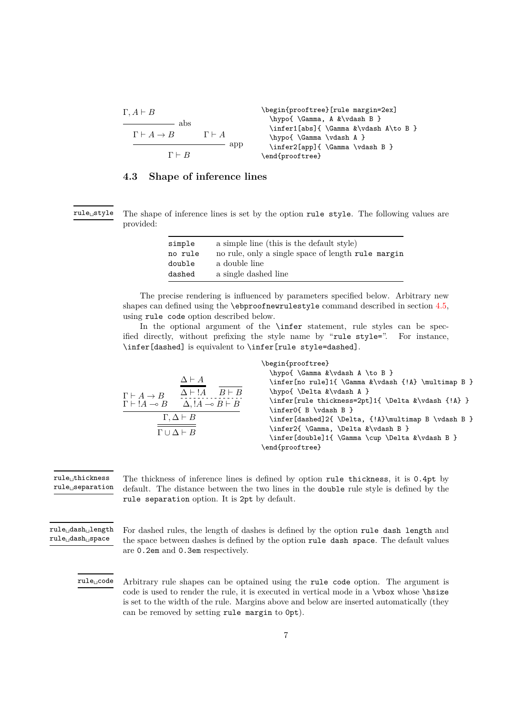Γ*, A* ` *B* abs Γ ` *A* → *B* Γ ` *A* app Γ ` *B* \begin{prooftree}[rule margin=2ex] \hypo{ \Gamma, A &\vdash B } \infer1[abs]{ \Gamma &\vdash A\to B } \hypo{ \Gamma \vdash A } \infer2[app]{ \Gamma \vdash B } \end{prooftree}

## <span id="page-6-0"></span>**4.3 Shape of inference lines**

rule␣style

The shape of inference lines is set by the option rule style. The following values are provided:

| simple  | a simple line (this is the default style)          |
|---------|----------------------------------------------------|
| no rule | no rule, only a single space of length rule margin |
| double  | a double line                                      |
| dashed  | a single dashed line                               |

The precise rendering is influenced by parameters specified below. Arbitrary new shapes can defined using the \ebproofnewrulestyle command described in section [4.5,](#page-8-0) using rule code option described below.

In the optional argument of the **\infer** statement, rule styles can be specified directly, without prefixing the style name by "rule style=". For instance, \infer[dashed] is equivalent to \infer[rule style=dashed].

|                                                                       | \begin{prooftree}                                                           |
|-----------------------------------------------------------------------|-----------------------------------------------------------------------------|
|                                                                       | \hypo{\Gamma &\vdash A \to B }                                              |
| $\Delta \vdash A$                                                     | \infer[no rule]1{ \Gamma &\vdash {!A} \multimap B }                         |
| $\Delta \vdash !A$<br>$B \vdash B$<br>$\Gamma \vdash A \rightarrow B$ | \hypo{\Delta &\vdash A }                                                    |
| $\Gamma \vdash !A \multimap B \quad \Delta, !A \multimap B \vdash B$  | \infer[rule thickness=2pt]1{ \Delta &\vdash {!A} }<br>\infer0{ B \vdash B } |
| $\Gamma, \Delta \vdash B$                                             | \infer[dashed]2{ \Delta, {!A}\multimap B \vdash B }                         |
| $\Gamma \cup \Delta \vdash B$                                         | \infer2{\Gamma,\Delta &\vdash B }                                           |
|                                                                       | \infer[double]1{ \Gamma \cup \Delta &\vdash B }                             |
|                                                                       | \end{prooftree}                                                             |

The thickness of inference lines is defined by option rule thickness, it is 0.4pt by default. The distance between the two lines in the double rule style is defined by the rule separation option. It is 2pt by default.  $rule_{\sqcup}$ thickness  $rule\_separation$ 

For dashed rules, the length of dashes is defined by the option rule dash length and the space between dashes is defined by the option rule dash space. The default values are 0.2em and 0.3em respectively. rule␣dash␣length rule␣dash␣space

Arbitrary rule shapes can be optained using the rule code option. The argument is code is used to render the rule, it is executed in vertical mode in a \vbox whose \hsize is set to the width of the rule. Margins above and below are inserted automatically (they can be removed by setting rule margin to 0pt). rule␣code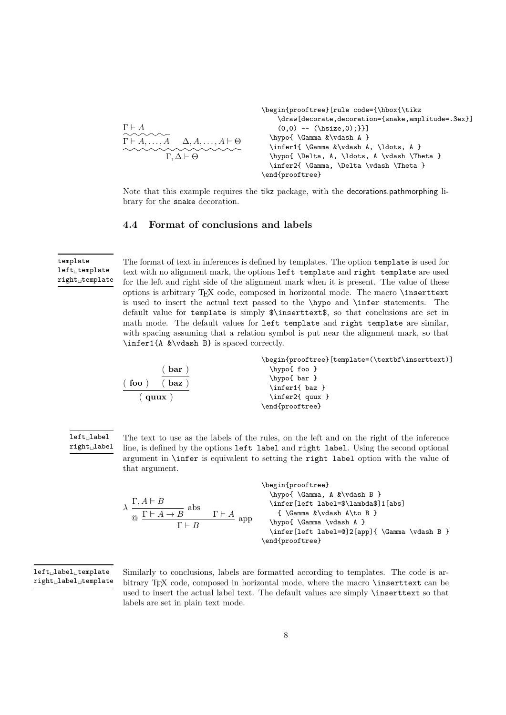$$
\begin{array}{c}\n\begin{array}{c}\n\begin{array}{c}\n\begin{array}{c}\n\begin{array}{c}\n\begin{array}{c}\n\begin{array}{c}\n\begin{array}{c}\n\begin{array}{c}\n\begin{array}{c}\n\begin{array}{c}\n\begin{array}{c}\n\begin{array}{c}\n\begin{array}{c}\n\begin{array}{c}\n\begin{array}{c}\n\begin{array}{c}\n\begin{array}{c}\n\begin{array}{c}\n\begin{array}{c}\n\begin{array}{c}\n\begin{array}{c}\n\begin{array}{c}\n\begin{array}{c}\n\begin{array}{c}\n\begin{array}{c}\n\begin{array}{c}\n\begin{array}{c}\n\begin{array}{c}\n\begin{array}{c}\n\begin{array}{c}\n\begin{array}{c}\n\begin{array}{c}\n\begin{array}{c}\n\begin{array}{c}\n\begin{array}{c}\n\begin{array}{c}\n\begin{array}{c}\n\hline\n\end{array}\n\end{array}\n\end{array}\n\end{array}\n\end{array}\n\end{array}\n\end{array}\n\end{array}\n\end{array}\n\end{array}\n\end{array}\n\end{array}\n\end{array}\n\end{array}\n\end{array}\n\end{array}\n\end{array}\n\end{array}\n\end{array}\n\end{array}\n\end{array}\n\end{array}\n\end{array}\n\end{array}\n\end{array}\n\end{array}\n\end{array}\n\end{array}\n\end{array}\n\end{array}\n\end{array}\n\end{array}\n\end{array}\n\end{array}\n\end{array}\n\end{array}\n\end{array}\n\end{array}\n\end{array}\n\end{array}\n\end{array}\n\end{array}\n\begin{array}{c}\n\begin{array}{c}\n\begin{array}{c}\n\begin{array}{c}\n\begin{array}{c}\n\hline\n\text{if $\mathop{\\n\end{array}\n\end{array}\n\end{array}\n\end{array}\n\end{array}\n\end{array}\n\end{array}\n\end{array}\n\end{array}\n\end{array}\n\end{array}\n\end{array}\n\end{array}\n\end{array}\n\end{array}\n\begin{array}{c}\n\begin{array}{c}\n\begin{array}{c}\n\hline\n\text{if $\mathop{\\n\end{array}\n\end{array}\n\end{array}
$$

Note that this example requires the tikz package, with the decorations.pathmorphing library for the snake decoration.

## <span id="page-7-0"></span>**4.4 Format of conclusions and labels**

template  $\mathtt{left\_template}$  $right<sub>u</sub>$ template

The format of text in inferences is defined by templates. The option template is used for text with no alignment mark, the options left template and right template are used for the left and right side of the alignment mark when it is present. The value of these options is arbitrary TEX code, composed in horizontal mode. The macro \inserttext is used to insert the actual text passed to the \hypo and \infer statements. The default value for template is simply \$\inserttext\$, so that conclusions are set in math mode. The default values for left template and right template are similar, with spacing assuming that a relation symbol is put near the alignment mark, so that \infer1{A &\vdash B} is spaced correctly.

|                    | \begin{prooftree}[template=(\textbf\inserttext)] |
|--------------------|--------------------------------------------------|
| bar)               | $\hbox{\tt hypo{}$ foo }                         |
|                    | \hypo{ bar }                                     |
| $($ foo $)$<br>baz | \infer1{ baz }                                   |
| $($ quux $)$       | \infer2{ quux }                                  |
|                    | \end{prooftree}                                  |



The text to use as the labels of the rules, on the left and on the right of the inference line, is defined by the options left label and right label. Using the second optional argument in \infer is equivalent to setting the right label option with the value of that argument.

|                                                      |                  | \begin{prooftree}                             |  |
|------------------------------------------------------|------------------|-----------------------------------------------|--|
|                                                      |                  | $\hbox{\hbox{Gamma}, A &\vdash x B}$          |  |
| $\lambda \frac{\Gamma, A \vdash B}{\sqrt{A}}$<br>abs |                  | \infer[left label=\$\lambda\$]1[abs]          |  |
| $Q \Gamma \vdash A \to B$                            | $\Gamma\vdash A$ | { $\Gamma \ \$ \Gamma & \vdash A \to B }      |  |
| $\Gamma \vdash R$                                    | app              | \hypo{\Gamma\vdash A }                        |  |
|                                                      |                  | \infer[left label=@]2[app]{ \Gamma \vdash B } |  |
|                                                      |                  | \end{prooftree}                               |  |

left␣label␣template right␣label␣template

Similarly to conclusions, labels are formatted according to templates. The code is arbitrary TEX code, composed in horizontal mode, where the macro \inserttext can be used to insert the actual label text. The default values are simply \inserttext so that labels are set in plain text mode.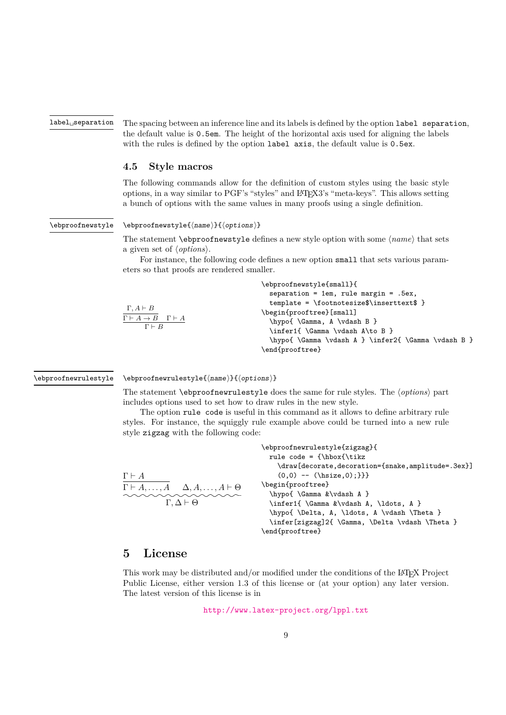${\tt label}_\sqcup {\tt separation}$ 

The spacing between an inference line and its labels is defined by the option label separation, the default value is 0.5em. The height of the horizontal axis used for aligning the labels with the rules is defined by the option label axis, the default value is 0.5ex.

## <span id="page-8-0"></span>**4.5 Style macros**

The following commands allow for the definition of custom styles using the basic style options, in a way similar to PGF's "styles" and LATEX3's "meta-keys". This allows setting a bunch of options with the same values in many proofs using a single definition.

<span id="page-8-3"></span>\ebproofnewstyle

#### $\begin{equation*} {\boldsymbol{\Theta}} {\boldsymbol{\Theta}} \end{equation*}$

The statement **\ebproofnewstyle** defines a new style option with some  $\langle name \rangle$  that sets a given set of  $\langle options \rangle$ .

For instance, the following code defines a new option small that sets various parameters so that proofs are rendered smaller.

| $\Gamma, A \vdash B$                      |  |
|-------------------------------------------|--|
| $\Gamma \vdash A \to B$ $\Gamma \vdash A$ |  |
| $\Gamma \vdash B$                         |  |

| \ebproofnewstyle{small}{                                             |
|----------------------------------------------------------------------|
| separation = 1em, rule margin = $.5ex$ ,                             |
| $template = \footnotesize \footnotesize \color{red}{inserttext$ } }$ |
| \begin{prooftree}[small]                                             |
| \hypo{\Gamma, A \vdash B }                                           |
| \infer1{ \Gamma \vdash A\to B }                                      |
| \hypo{\Gamma\vdash A } \infer2{\Gamma\vdash B }                      |
| \end{prooftree}                                                      |
|                                                                      |

### <span id="page-8-2"></span>\ebproofnewrulestyle

 $\begin{array}{c} \text{ (name)} {\begin{array}{c} \text{ (name)} \end{array}} \end{array}$ 

The statement  $\epsilon$  behind the style does the same for rule styles. The  $\langle options \rangle$  part includes options used to set how to draw rules in the new style.

The option rule code is useful in this command as it allows to define arbitrary rule styles. For instance, the squiggly rule example above could be turned into a new rule style zigzag with the following code:

|                                                                       | \ebproofnewrulestyle{zigzag}{                     |
|-----------------------------------------------------------------------|---------------------------------------------------|
|                                                                       | rule code = ${\hbox{\tt bbox}$                    |
|                                                                       | \draw[decorate,decoration={snake,amplitude=.3ex}] |
| $\Gamma \vdash A$                                                     | $(0,0)$ -- (\hsize,0);}}}                         |
| $\Gamma \vdash A, \ldots, A \quad \Delta, A, \ldots, A \vdash \Theta$ | \begin{prooftree}                                 |
|                                                                       | \hypo{\Gamma &\vdash A }                          |
| $\Gamma$ . $\Delta \vdash \Theta$                                     | \infer1{ \Gamma &\vdash A, \ldots, A }            |
|                                                                       | \hypo{\Delta, A, \ldots, A \vdash \Theta }        |
|                                                                       | \infer[zigzag]2{ \Gamma, \Delta \vdash \Theta }   |
|                                                                       | end{prooftree}                                    |

## <span id="page-8-1"></span>**5 License**

This work may be distributed and/or modified under the conditions of the L<sup>AT</sup>FX Project Public License, either version 1.3 of this license or (at your option) any later version. The latest version of this license is in

<http://www.latex-project.org/lppl.txt>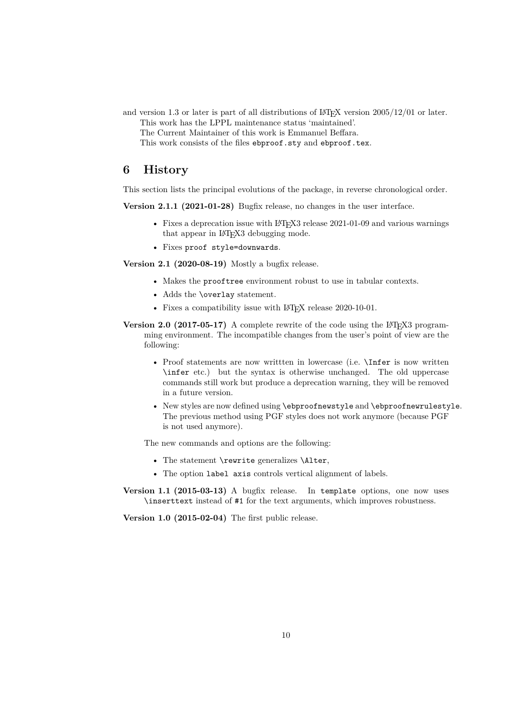- and version 1.3 or later is part of all distributions of  $\text{LATEX}$  version 2005/12/01 or later. This work has the LPPL maintenance status 'maintained'.
	- The Current Maintainer of this work is Emmanuel Beffara.
	- This work consists of the files ebproof.sty and ebproof.tex.

## <span id="page-9-0"></span>**6 History**

This section lists the principal evolutions of the package, in reverse chronological order.

**Version 2.1.1 (2021-01-28)** Bugfix release, no changes in the user interface.

- Fixes a deprecation issue with  $LAT$ <sub>F</sub>X3 release 2021-01-09 and various warnings that appear in LAT<sub>EX3</sub> debugging mode.
- Fixes proof style=downwards.

**Version 2.1 (2020-08-19)** Mostly a bugfix release.

- Makes the prooftree environment robust to use in tabular contexts.
- Adds the \overlay statement.
- Fixes a compatibility issue with LAT<sub>EX</sub> release 2020-10-01.
- **Version 2.0 (2017-05-17)** A complete rewrite of the code using the LAT<sub>E</sub>X3 programming environment. The incompatible changes from the user's point of view are the following:
	- Proof statements are now written in lowercase (i.e. **\Infer** is now written \infer etc.) but the syntax is otherwise unchanged. The old uppercase commands still work but produce a deprecation warning, they will be removed in a future version.
	- New styles are now defined using \ebproofnewstyle and \ebproofnewrulestyle. The previous method using PGF styles does not work anymore (because PGF is not used anymore).

The new commands and options are the following:

- The statement \rewrite generalizes \Alter,
- The option label axis controls vertical alignment of labels.

**Version 1.1 (2015-03-13)** A bugfix release. In template options, one now uses \inserttext instead of #1 for the text arguments, which improves robustness.

**Version 1.0 (2015-02-04)** The first public release.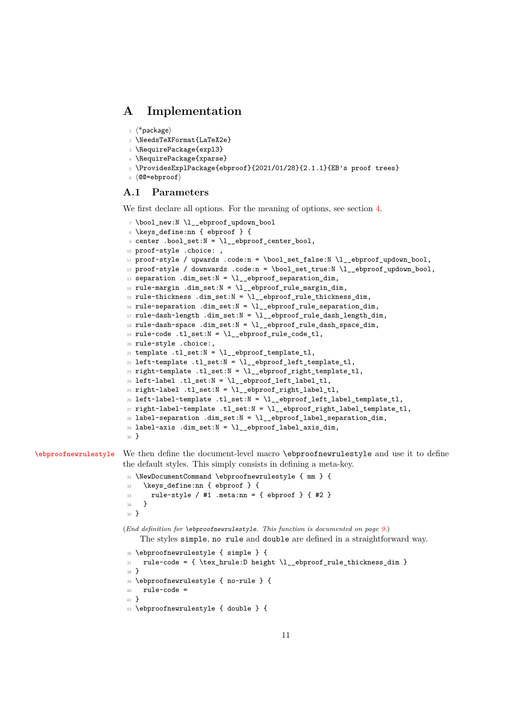## <span id="page-10-0"></span>**A Implementation**

```
1 \langle*package\rangle
```

```
2 \NeedsTeXFormat{LaTeX2e}
```

```
3 \RequirePackage{expl3}
```

```
4 \RequirePackage{xparse}
```

```
5 \ProvidesExplPackage{ebproof}{2021/01/28}{2.1.1}{EB's proof trees}
```

```
6 \langle \texttt{@=ebproof} \rangle
```
## <span id="page-10-1"></span>**A.1 Parameters**

We first declare all options. For the meaning of options, see section [4.](#page-4-0)

```
7 \bool_new:N \l__ebproof_updown_bool
8 \keys_define:nn { ebproof } {
\circ center .bool_set:N = \l__ebproof_center_bool,
10 proof~style .choice:,
11 proof~style / upwards .code:n = \bool_set_false:N \l__ebproof_updown_bool,
12 proof~style / downwards .code:n = \bool_set_true:N \l__ebproof_updown_bool,
13 separation .dim_set:N = \lceil \frac{1}{2} \rceil ebproof_separation_dim,
14 rule~margin .dim_set:N = \l_ebproof_rule_margin_dim,
15 rule~thickness .dim_set:N = \lceil \frac{1}{2} \rceilebproof_rule_thickness_dim,
16 rule~separation .dim_set:N = \l__ebproof_rule_separation_dim,
17 rule~dash~length .dim_set:N = \l__ebproof_rule_dash_length_dim,
18 rule~dash~space .dim_set:N = \l__ebproof_rule_dash_space_dim,
19 rule~code .tl_set:N = \l__ebproof_rule_code_tl,
20 rule~style .choice:,
21 template .tl_set:N = \l__ebproof_template_tl,
22 left~template .tl_set:N = \lceil \cdot \rceil _ebproof_left_template_tl,
23 right~template .tl_set:N = \lceil \cdot \rceil _ebproof_right_template_tl,
^{24} left~label .tl_set:N = \l__ebproof_left_label_tl,
^{25} right~label .tl_set:N = \l__ebproof_right_label_tl,
26 left~label~template .tl_set:N = \l__ebproof_left_label_template_tl,
27 right~label~template .tl_set:N = \l__ebproof_right_label_template_tl,
28 label~separation .dim_set:N = \l__ebproof_label_separation_dim,
29 label~axis .dim_set:N = \l__ebproof_label_axis_dim,
30 }
```
[\ebproofnewrulestyle](#page-8-2) We then define the document-level macro \ebproofnewrulestyle and use it to define the default styles. This simply consists in defining a meta-key.

```
31 \NewDocumentCommand \ebproofnewrulestyle { mm } {
32 \keys_define:nn { ebproof } {
33 rule~style / #1 .meta:nn = { ebproof } { #2 }
34 }
35 }
```
(*End definition for* \ebproofnewrulestyle*. This function is documented on page [9.](#page-8-2)*)

The styles simple, no rule and double are defined in a straightforward way.

```
36 \ebproofnewrulestyle { simple } {
37 rule~code = { \tex_hrule:D height \l__ebproof_rule_thickness_dim }
38 }
39 \ebproofnewrulestyle { no~rule } {
40 rule~code =
41 }
42 \ebproofnewrulestyle { double } {
```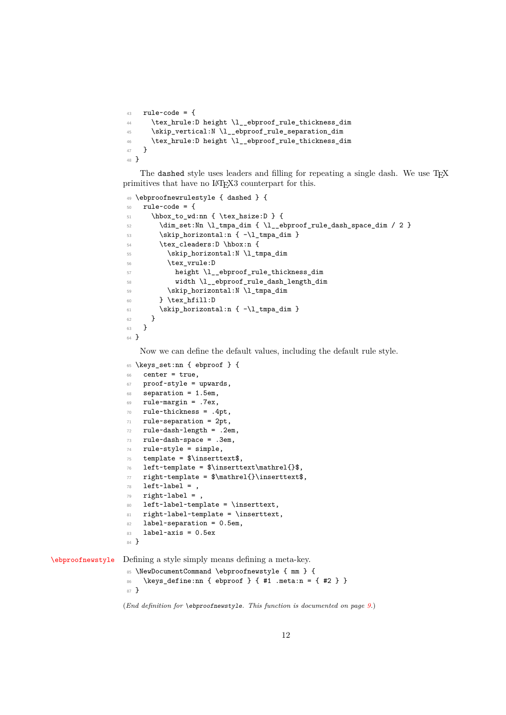```
43 rule~code = {
44 \tex_hrule:D height \l__ebproof_rule_thickness_dim
45 \skip_vertical:N \l__ebproof_rule_separation_dim
46 \tex_hrule:D height \l__ebproof_rule_thickness_dim
47 }
48 }
```
The dashed style uses leaders and filling for repeating a single dash. We use TFX primitives that have no LAT<sub>EX3</sub> counterpart for this.

```
49 \ebproofnewrulestyle { dashed } {
50 rule~code = {
51 \hbox_to_wd:nn { \tex_hsize:D } {
_{52} \dim_set:Nn \l_tmpa_dim { \l__ebproof_rule_dash_space_dim / 2 }
53 \skip_horizontal:n { -\l_tmpa_dim }
54 \text{\texttt{thex_cleaders:} \hbox{\texttt{hbox:} n }55 \skip_horizontal:N \l_tmpa_dim
56 \tex_vrule:D
57 height \l__ebproof_rule_thickness_dim
58 width \l__ebproof_rule_dash_length_dim
59 \skip_horizontal:N \l_tmpa_dim
60 } \tex_hfill:D
61 \skip_horizontal:n { -\l_tmpa_dim }
62 }
63 }
64 }
```
Now we can define the default values, including the default rule style.

```
65 \keys_set:nn { ebproof } {
                   66 center = true,
                   67 proof~style = upwards,
                   68 separation = 1.5em,
                   69 rule~margin = .7ex,
                   70 rule~thickness = .4pt,
                   71 rule~separation = 2pt,
                   72 rule~dash~length = .2em,
                   73 rule~dash~space = .3em,
                   74 rule~style = simple,
                   75 template = \timesinserttext$,
                   76 left~template = $\inserttext\mathrel{}$,
                   77 right~template = $\mathrel{}\inserttext$,
                   78 left-label = ,
                   79 right~label = ,
                   80 left~label~template = \inserttext,
                   81 right~label~template = \inserttext,
                   82 label~separation = 0.5em,
                  83 label~axis = 0.5ex
                  84 }
\ebproofnewstyle Defining a style simply means defining a meta-key.
                   85 \NewDocumentCommand \ebproofnewstyle { mm } {
                   86 \keys_define:nn { ebproof } { #1 .meta:n = { #2 } }
```

```
87 }
```
(*End definition for* \ebproofnewstyle*. This function is documented on page [9.](#page-8-3)*)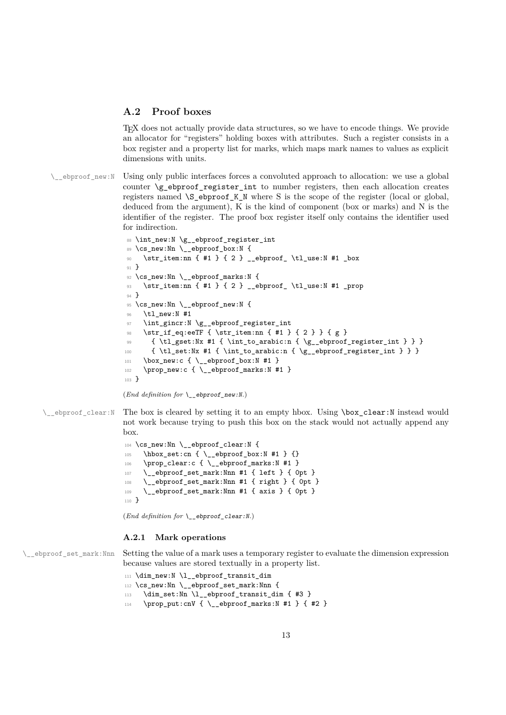## <span id="page-12-0"></span>**A.2 Proof boxes**

TEX does not actually provide data structures, so we have to encode things. We provide an allocator for "registers" holding boxes with attributes. Such a register consists in a box register and a property list for marks, which maps mark names to values as explicit dimensions with units.

\\_ebproof\_new:N Using only public interfaces forces a convoluted approach to allocation: we use a global counter  $\gtrsim$  ebproof register int to number registers, then each allocation creates registers named \S\_ebproof\_K\_N where S is the scope of the register (local or global, deduced from the argument), K is the kind of component (box or marks) and N is the identifier of the register. The proof box register itself only contains the identifier used for indirection.

```
88 \int_new:N \g__ebproof_register_int
89 \cs_new:Nn \__ebproof_box:N {
90 \str_item:nn { #1 } { 2 } __ebproof_ \tl_use:N #1 _box
91 }
92 \text{ } \text{ } \cs_new:Nn \_ ebproof_marks:N {
93 \str_item:nn { #1 } { 2 } __ebproof_ \tl_use:N #1 _prop
94 }
95 \cs_new:Nn \__ebproof_new:N {
96 \tl_new:N #1
97 \int_gincr:N \g__ebproof_register_int
98 \str_if_eq:eeTF { \str_item:nn { #1 } { 2 } } { g }
99 { \tl_gset:Nx #1 { \int_to_arabic:n { \g__ebproof_register_int } } }
100 { \tl_set:Nx #1 { \int_to_arabic:n { \g__ebproof_register_int } } }
101 \box_new:c { \__ebproof_box:N #1 }
102 \prop_new:c { \ _ebproof_marks:N #1 }
103 - 3
```

```
(End definition for \__ebproof_new:N.)
```
\\_\_ebproof\_clear:N The box is cleared by setting it to an empty hbox. Using \box\_clear:N instead would not work because trying to push this box on the stack would not actually append any box.

```
104 \cs_new:Nn \__ebproof_clear:N {
105 \hbox_set:cn { \__ebproof_box:N #1 } {}
\label{thm:106} \texttt{prop\_clear:} c {\texttt {\texttt{{\char'14}}} } \texttt{1}107 \__ebproof_set_mark:Nnn #1 { left } { 0pt }
108 \__ebproof_set_mark:Nnn #1 { right } { 0pt }
109 \__ebproof_set_mark:Nnn #1 { axis } { 0pt }
110 }
```
(*End definition for* \\_\_ebproof\_clear:N*.*)

### **A.2.1 Mark operations**

\\_ebproof\_set\_mark:Nnn Setting the value of a mark uses a temporary register to evaluate the dimension expression because values are stored textually in a property list.

```
111 \dim_new:N \l__ebproof_transit_dim
112 \cs_new:Nn \__ebproof_set_mark:Nnn {
113 \dim_set:Nn \l__ebproof_transit_dim { #3 }
114 \prop_put:cnV { \__ebproof_marks:N #1 } { #2 }
```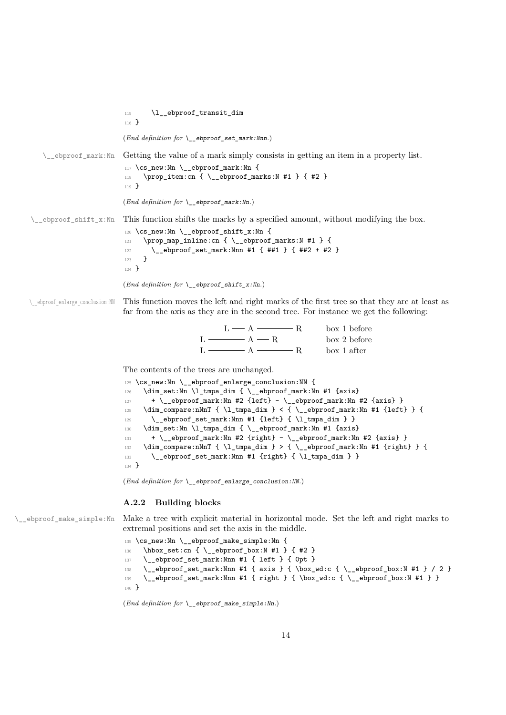115 \l\_\_ebproof\_transit\_dim <sup>116</sup> } (*End definition for* \\_\_ebproof\_set\_mark:Nnn*.*)  $\Diamond$  ebproof mark:Nn Getting the value of a mark simply consists in getting an item in a property list. 117 \cs\_new:Nn \\_\_ebproof\_mark:Nn { 118 \prop\_item:cn { \\_\_ebproof\_marks:N #1 } { #2 } <sup>119</sup> } (*End definition for* \\_\_ebproof\_mark:Nn*.*)  $\setminus$  ebproof shift x:Nn This function shifts the marks by a specified amount, without modifying the box. 120 \cs\_new:Nn \\_ ebproof\_shift\_x:Nn { 121 \prop\_map\_inline:cn { \\_\_ebproof\_marks:N #1 } { 122 \\_\_ebproof\_set\_mark:Nnn #1 { ##1 } { ##2 + #2 } 123 **}** <sup>124</sup> } (*End definition for* \\_\_ebproof\_shift\_x:Nn*.*) \ ebproof enlarge conclusion:NN This function moves the left and right marks of the first tree so that they are at least as far from the axis as they are in the second tree. For instance we get the following:  $L - A \longrightarrow R$  $L \longrightarrow A \longrightarrow R$  $L \longrightarrow A \longrightarrow R$ box 1 before box 2 before box 1 after The contents of the trees are unchanged. 125 \cs\_new:Nn \\_\_ebproof\_enlarge\_conclusion:NN {  $\verb|126| \ddot\quad \text{dim\_set}: \text{Nn } \lnot\text{lim\_dim} \ \{\ \texttt{m\_ebproof\_mark}: \text{Nn } \text{\#1} \ \text{\#axis}\}$ 127 + \\_\_ebproof\_mark:Nn #2 {left} - \\_\_ebproof\_mark:Nn #2 {axis} }  $\verb|128| \dim\_compare:nNnT { \l_\tmpa\_dim} < { \_ebproof\_mark:Nn #1 {left} } { }$ 129  $\qquad \qquad \qquad \setminus \_ \epsilon$  ebproof\_set\_mark:Nnn #1 {left} {  $\lceil \cdot \rfloor$  tmpa\_dim } } <sup>130</sup> \dim\_set:Nn \l\_tmpa\_dim { \\_\_ebproof\_mark:Nn #1 {axis}

> 133 \\_\_ebproof\_set\_mark:Nnn #1 {right} { \l\_tmpa\_dim } } <sup>134</sup> }

(*End definition for* \\_\_ebproof\_enlarge\_conclusion:NN*.*)

### **A.2.2 Building blocks**

\\_\_ebproof\_make\_simple:Nn Make a tree with explicit material in horizontal mode. Set the left and right marks to extremal positions and set the axis in the middle.

 $131$  + \\_\_ebproof\_mark:Nn #2 {right} - \\_\_ebproof\_mark:Nn #2 {axis} } 132 \dim\_compare:nNnT { \l\_tmpa\_dim } > { \\_\_ebproof\_mark:Nn #1 {right} } {

```
135 \cs_new:Nn \__ebproof_make_simple:Nn {
136 \hbox_set:cn { \__ebproof_box:N #1 } { #2 }
137 \__ebproof_set_mark:Nnn #1 { left } { 0pt }
138 \__ebproof_set_mark:Nnn #1 { axis } { \box_wd:c { \__ebproof_box:N #1 } / 2 }
139 \__ebproof_set_mark:Nnn #1 { right } { \box_wd:c { \__ebproof_box:N #1 } }
140 - 3
```
(*End definition for* \\_\_ebproof\_make\_simple:Nn*.*)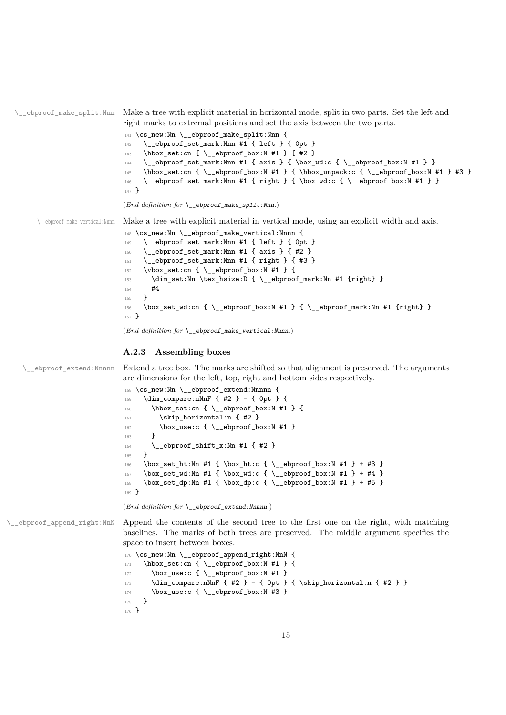$\epsilon$  = ebproof make split: Nnn Make a tree with explicit material in horizontal mode, split in two parts. Set the left and right marks to extremal positions and set the axis between the two parts.

```
141 \cs_new:Nn \__ebproof_make_split:Nnn {
142 \__ebproof_set_mark:Nnn #1 { left } { 0pt }
143 \hbox_set:cn { \__ebproof_box:N #1 } { #2 }
144 \_ebproof_set_mark:Nnn #1 { axis } { \box_wd:c { \_ebproof_box:N #1 } }
145 \hbox_set:cn { \__ebproof_box:N #1 } { \hbox_unpack:c { \__ebproof_box:N #1 } #3 }
146 \__ebproof_set_mark:Nnn #1 { right } { \box_wd:c { \__ebproof_box:N #1 } }
147 }
```
(*End definition for*  $\Diamond$  ebproof make split:Nnn.)

\\_\_ebproof\_make\_vertical:Nnnn Make a tree with explicit material in vertical mode, using an explicit width and axis.

```
148 \cs_new:Nn \__ebproof_make_vertical:Nnnn {
149 \__ebproof_set_mark:Nnn #1 { left } { 0pt }
150 \__ebproof_set_mark:Nnn #1 { axis } { #2 }
151 \__ebproof_set_mark:Nnn #1 { right } { #3 }
152 \vbox_set:cn { \__ebproof_box:N #1 } {
153 \dim_set:Nn \tex_hsize:D { \__ebproof_mark:Nn #1 {right} }
154 #4
155 }
156 \box_set_wd:cn { \__ebproof_box:N #1 } { \__ebproof_mark:Nn #1 {right} }
157 }
```
(*End definition for* \\_\_ebproof\_make\_vertical:Nnnn*.*)

#### **A.2.3 Assembling boxes**

\\_\_ebproof\_extend:Nnnnn Extend a tree box. The marks are shifted so that alignment is preserved. The arguments are dimensions for the left, top, right and bottom sides respectively.

```
158 \cs_new:Nn \__ebproof_extend:Nnnnn {
159 \dim_{\text{compare}:nNnF} \{ #2 \} = \{ 0pt \} \{160 \hbox_set:cn { \__ebproof_box:N #1 } {
161 \skip_horizontal:n { #2 }
162 \box_use:c { \__ebproof_box:N #1 }
163 }
_{164} \__ebproof_shift_x:Nn #1 { #2 }
165 }
166 \box_set_ht:Nn #1 { \box_ht:c { \__ebproof_box:N #1 } + #3 }
167 \box_set_wd:Nn #1 { \box_wd:c { \__ebproof_box:N #1 } + #4 }
168 \box_set_dp:Nn #1 { \box_dp:c { \__ebproof_box:N #1 } + #5 }
169 }
```
(*End definition for* \\_\_ebproof\_extend:Nnnnn*.*)

\\_\_ebproof\_append\_right:NnN Append the contents of the second tree to the first one on the right, with matching baselines. The marks of both trees are preserved. The middle argument specifies the space to insert between boxes.

```
170 \cs_new:Nn \__ebproof_append_right:NnN {
171 \hbox_set:cn { \__ebproof_box:N #1 } {
172 \box_use:c { \__ebproof_box:N #1 }
173 \dim_compare:nNnF { #2 } = { 0pt } { \skip_horizontal:n { #2 } }
174 \box_use:c { \__ebproof_box:N #3 }
175 }
176 }
```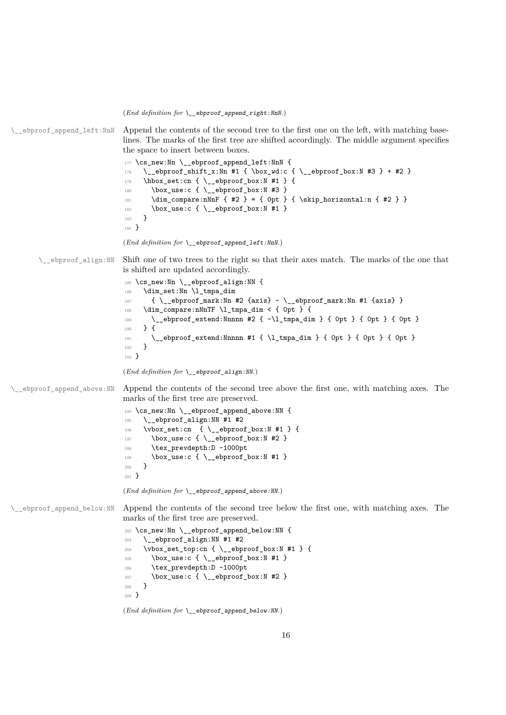(*End definition for* \\_\_ebproof\_append\_right:NnN*.*)

 $\epsilon$  ebproof append left:NnN Append the contents of the second tree to the first one on the left, with matching baselines. The marks of the first tree are shifted accordingly. The middle argument specifies the space to insert between boxes.

```
177 \cs_new:Nn \__ebproof_append_left:NnN {
178 \__ebproof_shift_x:Nn #1 { \box_wd:c { \__ebproof_box:N #3 } + #2 }
179 \hbox_set:cn { \__ebproof_box:N #1 } {
180 \box_use:c { \__ebproof_box:N #3 }
181 \dim\_{compare:nNnF {\#2 } = {\ 0pt } {\ \skip 1mm} \begin{array}{ccc} \hbox{skip\_horizontal:n {\#2 }} \end{array}182 \box_use:c { \__ebproof_box:N #1 }
183 }
184 }
```

```
(End definition for \__ebproof_append_left:NnN.)
```
\\_\_ebproof\_align:NN Shift one of two trees to the right so that their axes match. The marks of the one that is shifted are updated accordingly.

```
185 \cs_new:Nn \__ebproof_align:NN {
186 \dim_set:Nn \l_tmpa_dim
187 \{ \ \_ \epsilon \ = \{ \ \_ \epsilon \} = \{ \ \_ \epsilon \} = \{ \ \_ \epsilon \} = \{ \ \_ \epsilon \} = \{ \ \_ \epsilon \} = \{ \ \_ \epsilon \} = \{ \ \_ \epsilon \}188 \dim_compare:nNnTF \l_tmpa_dim < { 0pt } {
189 \__ebproof_extend:Nnnnn #2 { -\l_tmpa_dim } { 0pt } { 0pt } { 0pt }
190 } {
191 \qquad \qquad \qquad \qquad \qquad \qquad \qquad \qquad \qquad \qquad \qquad \qquad \qquad \qquad \qquad \qquad \qquad \qquad \qquad \qquad \qquad \qquad \qquad \qquad \qquad \qquad \qquad \qquad \qquad \qquad \qquad \qquad \qquad \qquad \qquad \qquad \qquad \qquad \qquad \qquad \qquad \qquad \qquad \qquad \qquad \qquad \qquad \qquad192 }
193 }
```

```
(End definition for \__ebproof_align:NN.)
```
\\_\_ebproof\_append\_above:NN Append the contents of the second tree above the first one, with matching axes. The marks of the first tree are preserved.

```
194 \cs_new:Nn \__ebproof_append_above:NN {
195 \__ebproof_align:NN #1 #2
196 \vbox_set:cn { \__ebproof_box:N #1 } {
197 \text{box\_use:c } {\underline{\phantom{a}}} \text{box\_is} {\underline{\phantom{a}}}198 \tex_prevdepth:D -1000pt
199 \text{box\_use:c } {\_\_e \text{bproof\_box:N #1 }}200 }
201 }
```
(*End definition for* \\_\_ebproof\_append\_above:NN*.*)

\\_\_ebproof\_append\_below:NN Append the contents of the second tree below the first one, with matching axes. The marks of the first tree are preserved.

```
202 \cs_new:Nn \__ebproof_append_below:NN {
203 \__ebproof_align:NN #1 #2
204 \vbox_set_top:cn {\__ebproof_box:N #1 } {
\verb|205| \texttt{box\_use:c { } \_e b proof\_box: N \#1 }|206 \tex_prevdepth:D -1000pt
207 \box_use:c { \ _ebproof_box:N #2 }
208 }
209 }
```
(*End definition for* \\_\_ebproof\_append\_below:NN*.*)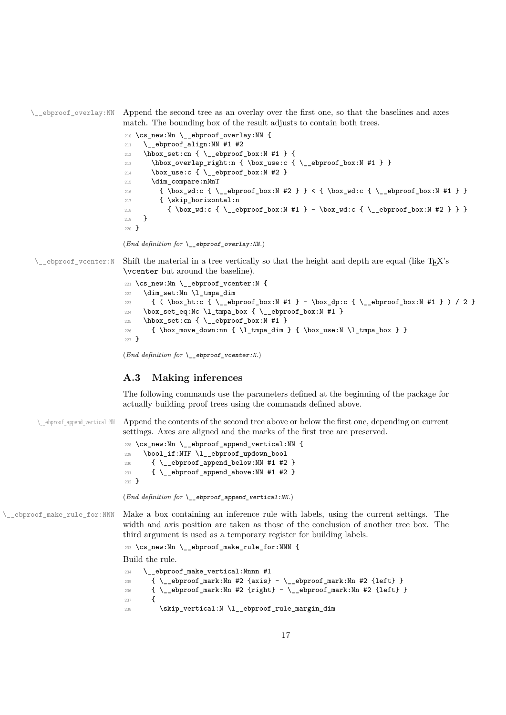\\_\_ebproof\_overlay:NN Append the second tree as an overlay over the first one, so that the baselines and axes match. The bounding box of the result adjusts to contain both trees.

|         | 210 \cs_new:Nn \__ebproof_overlay:NN {                                                  |  |
|---------|-----------------------------------------------------------------------------------------|--|
| 211     | \ ebproof_align:NN #1 #2                                                                |  |
| 212     | $\hbox{\tt hbox_set:cn}$ { $\_{\verb!ebproofbox:N#1}$ {                                 |  |
| 213     | $\hbox{\hbox{$\thinspace$-box.}}$ overlap right:n { \box_use:c { \_ebproof box:N #1 } } |  |
| 214     | $\boxtimes_us: c \ {\nightharpoonup} \substack{b \text{ or } b \text{ or } b}$          |  |
| 215     | \dim compare:nNnT                                                                       |  |
| 216     | { \box_wd:c { \_ebproof_box:N #2 } } < { \box_wd:c { \_ebproof_box:N #1 } }             |  |
| 217     | { \skip_horizontal:n                                                                    |  |
| 218     | $\{ \boxtimes wd: c \{ \ \emptyset \} \} \$                                             |  |
| 219     | ł                                                                                       |  |
| $220$ } |                                                                                         |  |
|         |                                                                                         |  |

(*End definition for* \\_\_ebproof\_overlay:NN*.*)

 $\Box$ ebproof vcenter:N Shift the material in a tree vertically so that the height and depth are equal (like TFX's \vcenter but around the baseline).

```
221 \cs_new:Nn \__ebproof_vcenter:N {
222 \dim_set:Nn \l_tmpa_dim
223 \{ (\text{ } \boxtimes_1 t: c \ } \_e \text{ by } r \} / 2 }
224 \box_set_eq:Nc \l_tmpa_box { \__ebproof_box:N #1 }
225 \hbox_set:cn { \__ebproof_box:N #1 }
226 { \box_move_down:nn { \l_tmpa_dim } { \box_use:N \l_tmpa_box } }
227 }
```
(*End definition for* \\_\_ebproof\_vcenter:N*.*)

## <span id="page-16-0"></span>**A.3 Making inferences**

The following commands use the parameters defined at the beginning of the package for actually building proof trees using the commands defined above.

\ ebproof append vertical:NN Append the contents of the second tree above or below the first one, depending on current settings. Axes are aligned and the marks of the first tree are preserved.

```
228 \text{ \&\_new:} Nn \_{\text{=}ebproof_append_vertical:NN {
229 \bool_if:NTF \l__ebproof_updown_bool
\begin{minipage}[c]{0.9\linewidth} \begin{tabular}{ll} \multicolumn{2}{l}{{\textbf{230}}} & \multicolumn{2}{l}{\textbf{42.}}\\ \multicolumn{2}{l}{\textbf{230}} & \multicolumn{2}{l}{\textbf{44.}}\\ \multicolumn{2}{l}{\textbf{24.}}\\ \multicolumn{2}{l}{\textbf{25.}}\\ \multicolumn{2}{l}{\textbf{26.}}\\ \multicolumn{2}{l}{\textbf{27.}}\\ \multicolumn{2}{l}{\textbf{28.}}\\ \multicolumn{2}{l}{\textbf{29.}}\\ \multicolumn{2}{l}{\textbf{20.231 { \__ebproof_append_above:NN #1 #2 }
232 }
```
(*End definition for* \\_\_ebproof\_append\_vertical:NN*.*)

\\_ebproof\_make\_rule\_for:NNN Make a box containing an inference rule with labels, using the current settings. The width and axis position are taken as those of the conclusion of another tree box. The third argument is used as a temporary register for building labels.

<sup>233</sup> \cs\_new:Nn \\_\_ebproof\_make\_rule\_for:NNN {

Build the rule.

```
234 \__ebproof_make_vertical:Nnnn #1
235 { \_ebproof_mark:Nn #2 {axis} - \_ebproof_mark:Nn #2 {left} }
236 \{ \ \mathcal{L}_=ebproof_mark:Nn #2 {right} - \mathcal{L}_=ebproof_mark:Nn #2 {left} }
237 {
238 \skip_vertical:N \l__ebproof_rule_margin_dim
```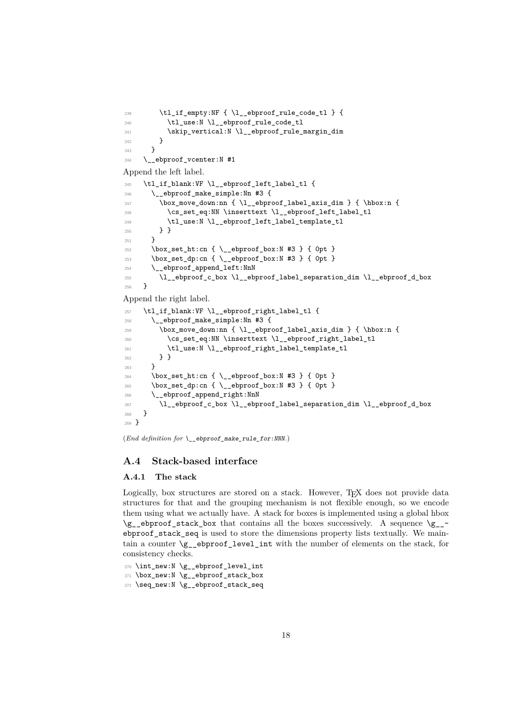```
239 \tl_if_empty:NF { \l__ebproof_rule_code_tl } {
240 \tl_use:N \l__ebproof_rule_code_tl
241 \skip_vertical:N \l__ebproof_rule_margin_dim
242 }
243 }
244 \__ebproof_vcenter:N #1
Append the left label.
245 \tl_if_blank:VF \l__ebproof_left_label_tl {
246 \__ebproof_make_simple:Nn #3 {
247 \box_move_down:nn { \l_ebproof_label_axis_dim } { \hbox:n {
\verb|248| = \csc\_set_eq: NN \in \texttt{l\_ebproof\_left\_label_t1}249 \tl_use:N \l__ebproof_left_label_template_tl
250 } }
251252 \box_set_ht:cn { \__ebproof_box:N #3 } { 0pt }
253 \box_set_dp:cn { \__ebproof_box:N #3 } { 0pt }
254 \__ebproof_append_left:NnN
255 \l__ebproof_c_box \l__ebproof_label_separation_dim \l__ebproof_d_box
256 }
Append the right label.
257 \tl_if_blank:VF \l__ebproof_right_label_tl {
258 \__ebproof_make_simple:Nn #3 {
259 \box_move_down:nn { \l__ebproof_label_axis_dim } { \hbox:n {
260 \cs_set_eq:NN \inserttext \l__ebproof_right_label_tl
\verb|261| \qquad \verb|\til_use:N \l__ebproof\_right_labels\_template_t1|262 } }
263 }
264 \box_set_ht:cn { \__ebproof_box:N #3 } { 0pt }
265 \box_set_dp:cn { \__ebproof_box:N #3 } { 0pt }
266 \__ebproof_append_right:NnN
267 \l__ebproof_c_box \l__ebproof_label_separation_dim \l__ebproof_d_box
268 }
269 }
```
(*End definition for* \\_\_ebproof\_make\_rule\_for:NNN*.*)

## <span id="page-17-0"></span>**A.4 Stack-based interface**

## **A.4.1 The stack**

Logically, box structures are stored on a stack. However, TFX does not provide data structures for that and the grouping mechanism is not flexible enough, so we encode them using what we actually have. A stack for boxes is implemented using a global hbox  $\gtrsim$ -ebproof\_stack\_box that contains all the boxes successively. A sequence  $\gtrsim$ ebproof\_stack\_seq is used to store the dimensions property lists textually. We maintain a counter  $\gtrsim$  ebproof level int with the number of elements on the stack, for consistency checks.

```
270 \int_new:N \g__ebproof_level_int
271 \box_new:N \g__ebproof_stack_box
```

```
272 \seq_new:N \g__ebproof_stack_seq
```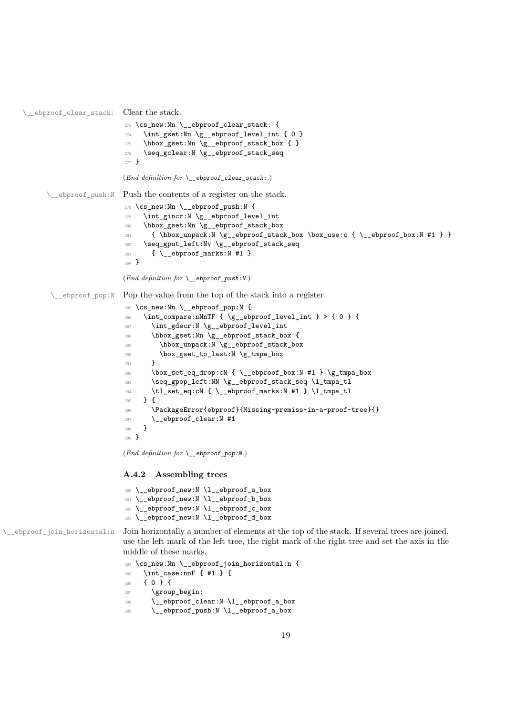```
\__ebproof_clear_stack: Clear the stack.
                          273 \cs_new:Nn \__ebproof_clear_stack: {
                          274 \int_gset:Nn \g__ebproof_level_int { 0 }
                          275 \hbox_gset:Nn \g__ebproof_stack_box { }
                          276 \seq_gclear:N \g__ebproof_stack_seq
                          277 }
                          (End definition for \__ebproof_clear_stack:.)
      \__ebproof_push:N Push the contents of a register on the stack.
                          278 \cs_new:Nn \__ebproof_push:N {
                          279 \int_gincr:N \g__ebproof_level_int
                          280 \hbox_gset:Nn \g__ebproof_stack_box
                          \verb|281|{ \hbox{hbox\_unpack:} N \g__ebproof\_stack\_box \boxtimes:} { \_ebproof\_box:} M \#1 } }282 \seq_gput_left:Nv \g__ebproof_stack_seq
                          283 \{ \setminus \_\text{ebbproof\_marks}: N #1 \}284 }
                          (End definition for \__ebproof_push:N.)
       \& ebproof pop:N Pop the value from the top of the stack into a register.
                          285 \cs_new:Nn \__ebproof_pop:N {
                          286 \int_compare:nNnTF { \g__ebproof_level_int } > { 0 } {
                          287 \int_gdecr:N \g__ebproof_level_int
                           288 \hbox_gset:Nn \g__ebproof_stack_box {
                           289 \hbox_unpack:N \g__ebproof_stack_box
                           290 \box_gset_to_last:N \g_tmpa_box
                           201 }
                           \verb|292| \thinspace \verb|box_set_eq_drop: cN { \_eebproof_box:N #1 } \gtrsim \frac{}{} \phi_box293 \seq_gpop_left:NN \g__ebproof_stack_seq \l_tmpa_tl
                           294 \tl_set_eq:cN { \__ebproof_marks:N #1 } \l_tmpa_tl
                           295 } {
                           296 \PackageError{ebproof}{Missing~premiss~in~a~proof~tree}{}
```
(*End definition for*  $\leq$  ebproof pop:N.)

\\_\_ebproof\_clear:N #1

 } }

### **A.4.2 Assembling trees**

```
300 \__ebproof_new:N \l__ebproof_a_box
301 \__ebproof_new:N \l__ebproof_b_box
302 \__ebproof_new:N \l__ebproof_c_box
303 \__ebproof_new:N \l__ebproof_d_box
```
\\_\_ebproof\_join\_horizontal:n Join horizontally a number of elements at the top of the stack. If several trees are joined, use the left mark of the left tree, the right mark of the right tree and set the axis in the middle of these marks.

```
304 \cs_new:Nn \__ebproof_join_horizontal:n {
305 \int_case:nnF { #1 } {
306 { 0 } {
307 \group_begin:
308 \__ebproof_clear:N \l__ebproof_a_box
309 \__ebproof_push:N \l__ebproof_a_box
```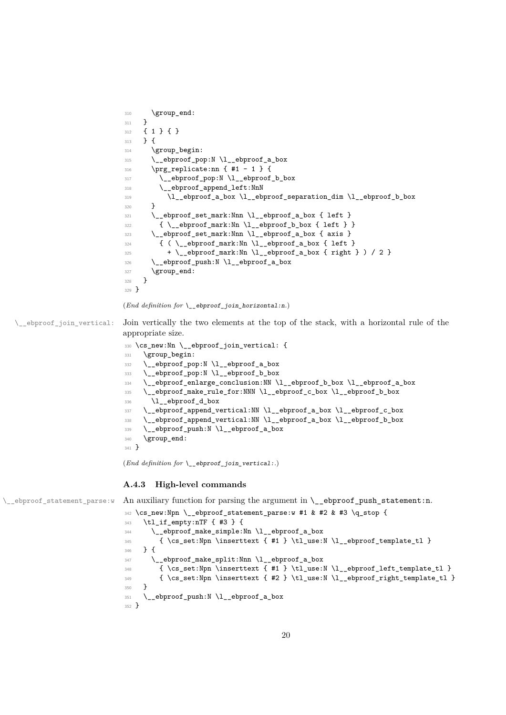```
310 \group_end:
                             311 \quad \text{}312 \{ 1 \} \{ 1313 } {
                             314 \group_begin:
                             315 \__ebproof_pop:N \l__ebproof_a_box
                             316 \prg_replicate:nn { #1 - 1 } {
                             317 \__ebproof_pop:N \l__ebproof_b_box
                             318 \__ebproof_append_left:NnN
                             319 \l__ebproof_a_box \l__ebproof_separation_dim \l__ebproof_b_box
                             \overline{3} \overline{1}321 \__ebproof_set_mark:Nnn \l__ebproof_a_box { left }
                             \verb|3222601_mark:Nn \l1_ebproof_bbox { left } }323 \__ebproof_set_mark:Nnn \l__ebproof_a_box { axis }
                             \label{eq:3.1} \begin{array}{ll} \text{3.24} & \text{if ( } \verb|\_\ebproof_matrix: Nn |\llbracket \text{1} \end{array} \text{ for all } \verb|\|| and \verb|\||.325 + \ ebproof mark:Nn \l ebproof a box { right } ) / 2 }
                             326 \__ebproof_push:N \l__ebproof_a_box
                             327 \group_end:
                             328 }
                             329 }
                            (End definition for \leq ebproof join horizontal:n.)
\_ebproof_join_vertical: Join vertically the two elements at the top of the stack, with a horizontal rule of the
                            appropriate size.
                             330 \cs_new:Nn \__ebproof_join_vertical: {
                             331 \group_begin:
                             332 \__ebproof_pop:N \l__ebproof_a_box
                             333 \__ebproof_pop:N \l__ebproof_b_box
                             334 \__ebproof_enlarge_conclusion:NN \l__ebproof_b_box \l__ebproof_a_box
                             335 \__ebproof_make_rule_for:NNN \l__ebproof_c_box \l__ebproof_b_box
                             336 \l__ebproof_d_box
                             337 \__ebproof_append_vertical:NN \l__ebproof_a_box \l__ebproof_c_box
                             338 \__ebproof_append_vertical:NN \l__ebproof_a_box \l__ebproof_b_box
                             339 \ ebproof_push:N \l ebproof_a_box
                             340 \group_end:
```

```
341 }
```
(*End definition for* \\_\_ebproof\_join\_vertical:*.*)

#### **A.4.3 High-level commands**

\\_ebproof\_statement\_parse:w An auxiliary function for parsing the argument in \\_ebproof\_push\_statement:n.

```
342 \cs_new:Npn \__ebproof_statement_parse:w #1 & #2 & #3 \q_stop {
343 \tl_if_empty:nTF { #3 } {
344 \__ebproof_make_simple:Nn \l__ebproof_a_box
345 { \cs_set:Npn \inserttext { #1 } \tl_use:N \l__ebproof_template_tl }
346 } {
347 \__ebproof_make_split:Nnn \l__ebproof_a_box
348 {\cs_set:Npn \inserttext { #1 } \tl_use:N \l__ebproof_left_template_tl }
349 { \cs_set:Npn \inserttext { #2 } \tl_use:N \l__ebproof_right_template_tl }
350 }
351 \__ebproof_push:N \l__ebproof_a_box
352 }
```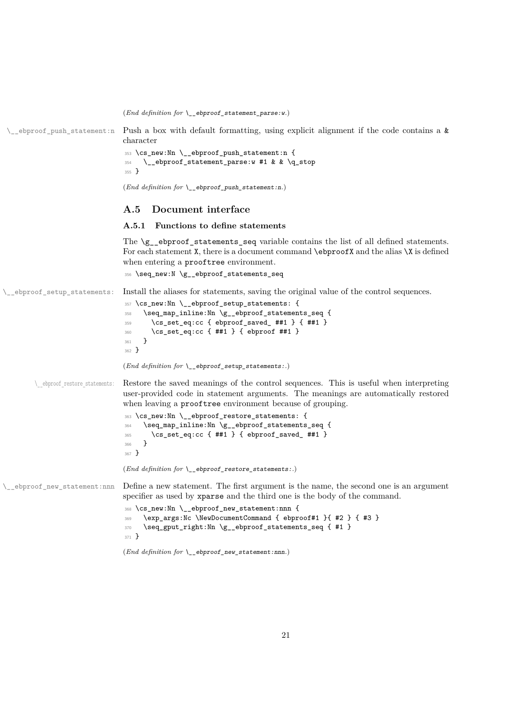(*End definition for* \\_\_ebproof\_statement\_parse:w*.*)

\\_\_ebproof\_push\_statement:n Push a box with default formatting, using explicit alignment if the code contains a & character

```
353 \cs_new:Nn \__ebproof_push_statement:n {
354 \__ebproof_statement_parse:w #1 & & \q_stop
355 }
```
(*End definition for* \\_\_ebproof\_push\_statement:n*.*)

## <span id="page-20-0"></span>**A.5 Document interface**

### **A.5.1 Functions to define statements**

The \g\_\_ebproof\_statements\_seq variable contains the list of all defined statements. For each statement  $X$ , there is a document command  $\epsilon$  **b**  $\epsilon$  and the alias  $X$  is defined when entering a prooftree environment.

<sup>356</sup> \seq\_new:N \g\_\_ebproof\_statements\_seq

\\_\_ebproof\_setup\_statements: Install the aliases for statements, saving the original value of the control sequences.

```
357 \cs_new:Nn \__ebproof_setup_statements: {
358 \seq_map_inline:Nn \g__ebproof_statements_seq {
359 \cs_set_eq:cc { ebproof_saved_ ##1 } { ##1 }
360 \cs_set_eq:cc { ##1 } { ebproof ##1 }
361 }
362 }
```
(*End definition for* \\_\_ebproof\_setup\_statements:*.*)

\ ebproof restore statements: Restore the saved meanings of the control sequences. This is useful when interpreting user-provided code in statement arguments. The meanings are automatically restored when leaving a prooftree environment because of grouping.

```
363 \cs_new:Nn \__ebproof_restore_statements: {
364 \seq_map_inline:Nn \g__ebproof_statements_seq {
365 \cs_set_eq:cc { ##1 } { ebproof_saved_ ##1 }
366 }
367 }
```
(*End definition for* \\_\_ebproof\_restore\_statements:*.*)

\\_\_ebproof\_new\_statement:nnn Define a new statement. The first argument is the name, the second one is an argument specifier as used by xparse and the third one is the body of the command.

```
368 \cs_new:Nn \__ebproof_new_statement:nnn {
369 \exp args:Nc \NewDocumentCommand { ebproof#1 }{ #2 } { #3 }
370 \seq_gput_right:Nn \g_ebproof_statements_seq { #1 }
371 }
```

```
(End definition for \__ebproof_new_statement:nnn.)
```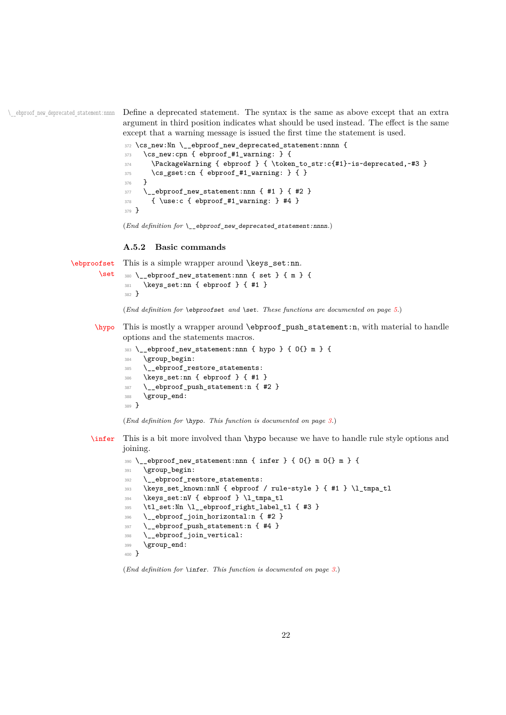\\_\_ebproof\_new\_deprecated\_statement:nnnn Define a deprecated statement. The syntax is the same as above except that an extra argument in third position indicates what should be used instead. The effect is the same except that a warning message is issued the first time the statement is used.

```
372 \cs_new:Nn \_ebproof_new_deprecated_statement:nnnn {
373 \cs_new:cpn { ebproof_#1_warning: } {
374 \PackageWarning { ebproof } { \token_to_str:c{#1}~is~deprecated,~#3 }
375 \cs_gset:cn { ebproof_#1_warning: } { }
376 }
\texttt{377} \qquad \texttt{\textbackslash\_ebproot\_new\_statement:nnn} \ \{ \texttt{\#1}} \ \} \ \{ \texttt{\#2} \ \}378 { \use:c { ebproof_#1_warning: } #4 }
379 }
```
(*End definition for* \\_\_ebproof\_new\_deprecated\_statement:nnnn*.*)

### **A.5.2 Basic commands**

```
\ebproofset
       \set
             This is a simple wrapper around \keys_set:nn.
             380 \__ebproof_new_statement:nnn { set } { m } {
              381 \keys_set:nn { ebproof } { #1 }
              382 }
             (End definition for \ebproofset and \set. These functions are documented on page 5.)
      \hypo This is mostly a wrapper around \ebproof_push_statement:n, with material to handle
             options and the statements macros.
              383 \quad \angle ebproof_new_statement:nnn { hypo } { O{} m } {
              384 \group_begin:
              385 \__ebproof_restore_statements:
              386 \keys_set:nn { ebproof } { #1 }
```

```
387 \__ebproof_push_statement:n { #2 }
```

```
388 \group_end:
```

```
389 }
```

```
(End definition for \hypo. This function is documented on page 3.)
```
[\infer](#page-2-2) This is a bit more involved than \hypo because we have to handle rule style options and joining.

```
390 \__ebproof_new_statement:nnn { infer } { O{} m O{} m } {
391 \group_begin:
392 \ ebproof_restore_statements:
393 \keys_set_known:nnN { ebproof / rule~style } { #1 } \l_tmpa_tl
394 \keys_set:nV { ebproof } \l_tmpa_tl
395 \tl_set:Nn \l__ebproof_right_label_tl { #3 }
396 \__ebproof_join_horizontal:n { #2 }
397 \__ebproof_push_statement:n { #4 }
398 \__ebproof_join_vertical:
399 \group_end:
400 }
```
(*End definition for* \infer*. This function is documented on page [3.](#page-2-2)*)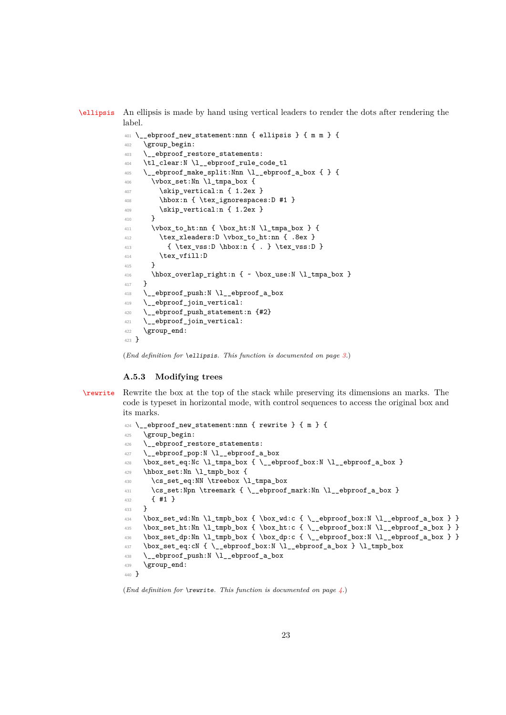[\ellipsis](#page-2-3) An ellipsis is made by hand using vertical leaders to render the dots after rendering the label.

```
_{401} \__ebproof_new_statement:nnn { ellipsis } { m m } {
402 \group_begin:
403 \__ebproof_restore_statements:
404 \tl_clear:N \l__ebproof_rule_code_tl
405 \__ebproof_make_split:Nnn \l__ebproof_a_box { } {
406 \vbox_set:Nn \l_tmpa_box {
407 \skip_vertical:n { 1.2ex }
408 \hbox:n { \tex_ignorespaces:D #1 }
409 \skip_vertical:n { 1.2ex }
410 }
411 \vbox_to_ht:nn { \box_ht:N \l_tmpa_box } {
412 \tex_xleaders:D \vbox_to_ht:nn { .8ex }
413 { \tex_vss:D \hbox:n { . } \tex_vss:D }
414 \text{text\_vfill:}\ D415 }
416 \hbox_overlap_right:n { ~ \box_use:N \l_tmpa_box }
417 }
418 \__ebproof_push:N \l__ebproof_a_box
419 \__ebproof_join_vertical:
420 \_ebproof_push_statement:n {#2}
421 \__ebproof_join_vertical:
422 \group_end:
423 }
```
(*End definition for* \ellipsis*. This function is documented on page [3.](#page-2-3)*)

### **A.5.3 Modifying trees**

[\rewrite](#page-3-0) Rewrite the box at the top of the stack while preserving its dimensions an marks. The code is typeset in horizontal mode, with control sequences to access the original box and its marks.

```
424 \ ebproof new statement:nnn { rewrite } { m } {
425 \group_begin:
426 \__ebproof_restore_statements:
427 \__ebproof_pop:N \l__ebproof_a_box
428 \box_set_eq:Nc \l_tmpa_box { \__ebproof_box:N \l__ebproof_a_box }
429 \hbox_set:Nn \l_tmpb_box {
430 \cs_set_eq:NN \treebox \l_tmpa_box
431 \cs_set:Npn \treemark { \__ebproof_mark:Nn \l__ebproof_a_box }
432 { #1 }
433 }
\verb|434 | \boxtimes_set_wd: \verb|M l_tmpb_box { \boxtimes:} d \}_{\verb|=bproof_box: N \ll \verb|=bproof_a_box }| \}435 \box_set_ht:Nn \l_tmpb_box { \box_ht:c { \__ebproof_box:N \l__ebproof_a_box } }
436 \box_set_dp:Nn \l_tmpb_box { \box_dp:c { \__ebproof_box:N \l__ebproof_a_box } }
437 \box_set_eq:cN { \_ebproof_box:N \l_ebproof_a_box } \l_tmpb_box
438 \__ebproof_push:N \l__ebproof_a_box
439 \group_end:
440 }
```
(*End definition for* \rewrite*. This function is documented on page [4.](#page-3-0)*)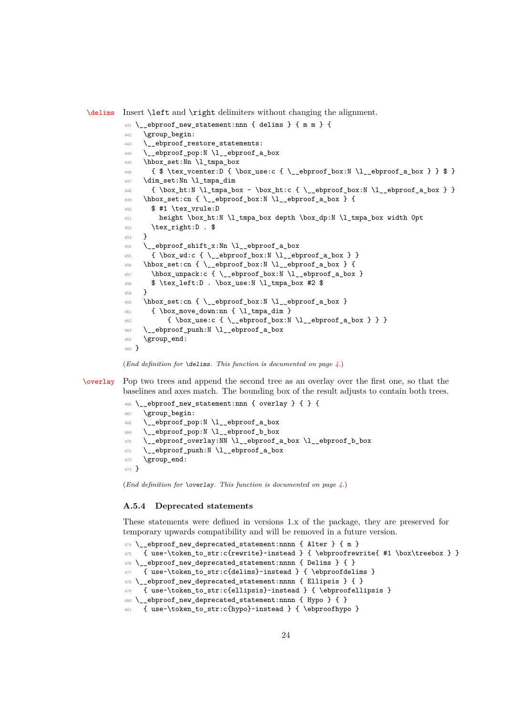[\delims](#page-3-1) Insert \left and \right delimiters without changing the alignment.

```
441 \__ebproof_new_statement:nnn { delims } { m m } {
442 \group_begin:
443 \__ebproof_restore_statements:
444 \__ebproof_pop:N \l__ebproof_a_box
445 \hbox_set:Nn \l_tmpa_box
446 { $ \tex_vcenter:D { \box_use:c { \_ebproof_box:N \l_ebproof_a_box } } $ }
447 \dim_set:Nn \l_tmpa_dim
448 { \box_ht:N \l_tmpa_box - \box_ht:c { \__ebproof_box:N \l__ebproof_a_box } }
\Lambda449 \hbox_set:cn { \__ebproof_box:N \l__ebproof_a_box } {
450 $ #1 \tex_vrule:D
451 height \box_ht:N \l_tmpa_box depth \box_dp:N \l_tmpa_box width 0pt
452 \tex_right:D . $
453 }
454 \__ebproof_shift_x:Nn \l__ebproof_a_box
455 { \box_wd:c { \_ebproof_box:N \l_ebproof_a_box } }
456 \hbox_set:cn { \_ebproof_box:N \l_ebproof_a_box } {
457 \hbox_unpack:c { \__ebproof_box:N \l__ebproof_a_box }
458 $ \tex_left:D . \box_use:N \l_tmpa_box #2 $
459 }
460 \hbox_set:cn { \__ebproof_box:N \l__ebproof_a_box }
461 { \box_move_down:nn { \l_tmpa_dim }
462 { \box_use:c { \__ebproof_box:N \l__ebproof_a_box } } }
463 \__ebproof_push:N \l__ebproof_a_box
464 \group_end:
465 }
```


[\overlay](#page-3-2) Pop two trees and append the second tree as an overlay over the first one, so that the baselines and axes match. The bounding box of the result adjusts to contain both trees.

```
466 \__ebproof_new_statement:nnn { overlay } { } {
467 \group_begin:
468 \__ebproof_pop:N \l__ebproof_a_box
469 \__ebproof_pop:N \l__ebproof_b_box
470 \__ebproof_overlay:NN \l__ebproof_a_box \l__ebproof_b_box
471 \__ebproof_push:N \l__ebproof_a_box
472 \group_end:
473 }
```
(*End definition for* \overlay*. This function is documented on page [4.](#page-3-2)*)

## **A.5.4 Deprecated statements**

These statements were defined in versions 1.x of the package, they are preserved for temporary upwards compatibility and will be removed in a future version.

```
474 \__ebproof_new_deprecated_statement:nnnn { Alter } { m }
475 { use~\token_to_str:c{rewrite}~instead } { \ebproofrewrite{ #1 \box\treebox } }
476 \_ebproof_new_deprecated_statement:nnnn { Delims } { }
477 { use~\token_to_str:c{delims}~instead } { \ebproofdelims }
478 \_ebproof_new_deprecated_statement:nnnn { Ellipsis } { }
    { use^- \to en: c{ellipsis}-instead } { \ebproofellipsis }480 \__ebproof_new_deprecated_statement:nnnn { Hypo } { }
481 { use~\token_to_str:c{hypo}~instead } { \ebproofhypo }
```